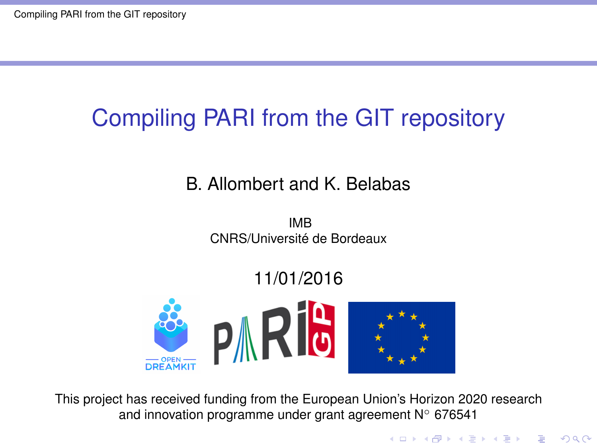### <span id="page-0-0"></span>B. Allombert and K. Belabas

IMB CNRS/Université de Bordeaux

### 11/01/2016



This project has received funding from the European Union's Horizon 2020 research and innovation programme under grant agreement N◦ 676541

**KOD KOD KED KED E VAN**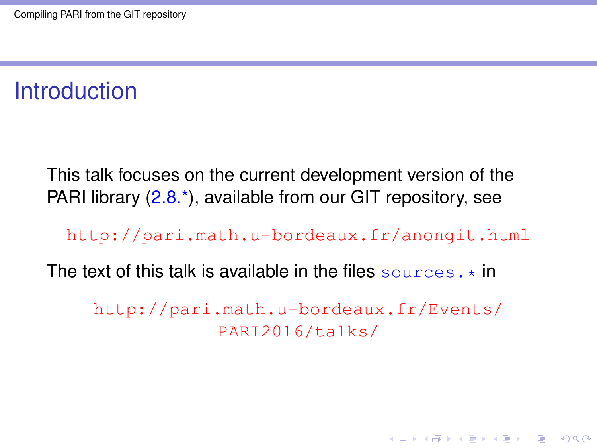## **Introduction**

This talk focuses on the current development version of the PARI library (2.8.<sup>\*</sup>), available from our GIT repository, see

<http://pari.math.u-bordeaux.fr/anongit.html>

The text of this talk is available in the files sources.  $\star$  in

[http://pari.math.u-bordeaux.fr/Events/](http://pari.math.u-bordeaux.fr/Events/PARI2016/talks/) [PARI2016/talks/](http://pari.math.u-bordeaux.fr/Events/PARI2016/talks/)

**KORK ERKER ADAM ADA**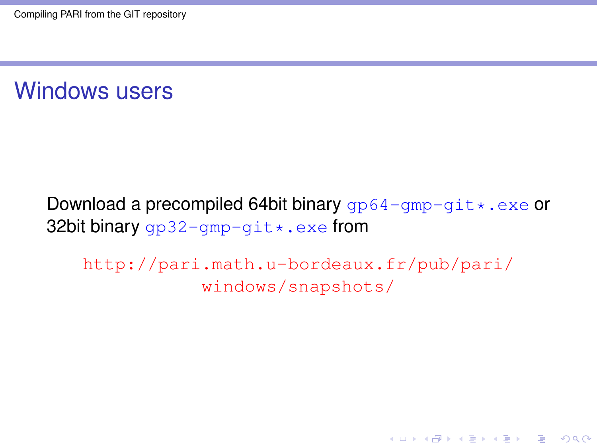Windows users

#### Download a precompiled 64bit binary  $qp64-qmp-qit*$ .exe or 32bit binary  $qp32-qmp-qit*.exe$  from

[http://pari.math.u-bordeaux.fr/pub/pari/](http://pari.math.u-bordeaux.fr/pub/pari/windows/snapshots/) [windows/snapshots/](http://pari.math.u-bordeaux.fr/pub/pari/windows/snapshots/)

**KORKARA KERKER DAGA**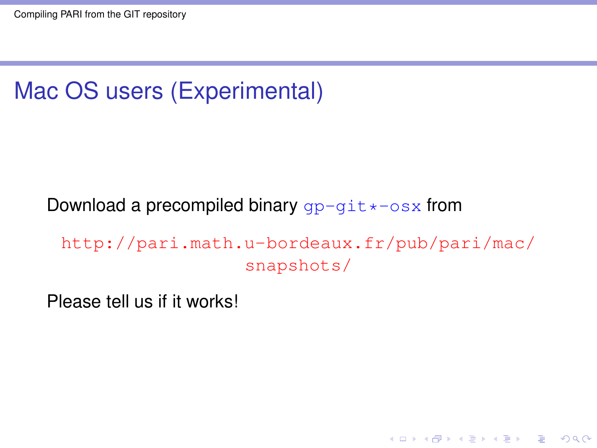# Mac OS users (Experimental)

Download a precompiled binary  $qp-qit * -osx$  from

[http://pari.math.u-bordeaux.fr/pub/pari/mac/](http://pari.math.u-bordeaux.fr/pub/pari/mac/snapshots/) [snapshots/](http://pari.math.u-bordeaux.fr/pub/pari/mac/snapshots/)

**KORKARA KERKER DAGA** 

Please tell us if it works!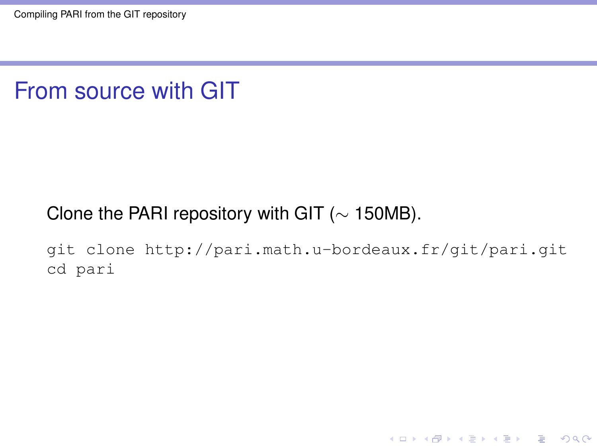### From source with GIT

#### Clone the PARI repository with GIT ( $\sim$  150MB).

git clone http://pari.math.u-bordeaux.fr/git/pari.git cd pari

**KORKARYKERKE PORCH**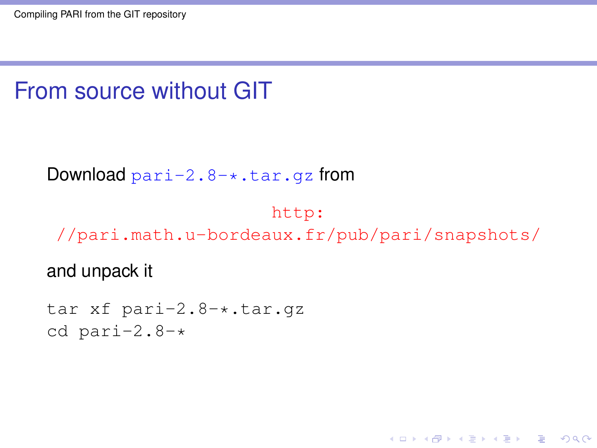## From source without GIT

Download  $part-2.8-*.tar.gz$  from

#### [http:](http://pari.math.u-bordeaux.fr/pub/pari/snapshots/) [//pari.math.u-bordeaux.fr/pub/pari/snapshots/](http://pari.math.u-bordeaux.fr/pub/pari/snapshots/)

KEL KALEY KEY E NAG

and unpack it

tar xf pari-2.8-\*.tar.gz cd pari-2.8-\*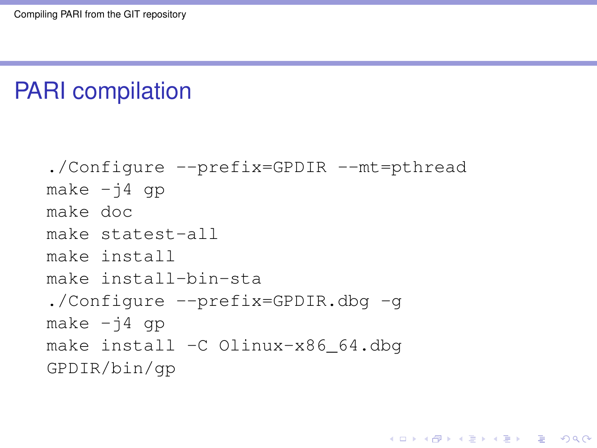### PARI compilation

```
./Configure --prefix=GPDIR --mt=pthread
make -j4 qp
make doc
make statest-all
make install
make install-bin-sta
./Configure --prefix=GPDIR.dbg -g
make -i4 qp
make install -C Olinux-x86_64.dbg
GPDIR/bin/gp
```
**KORK STRAIN A STRAIN A STRAIN**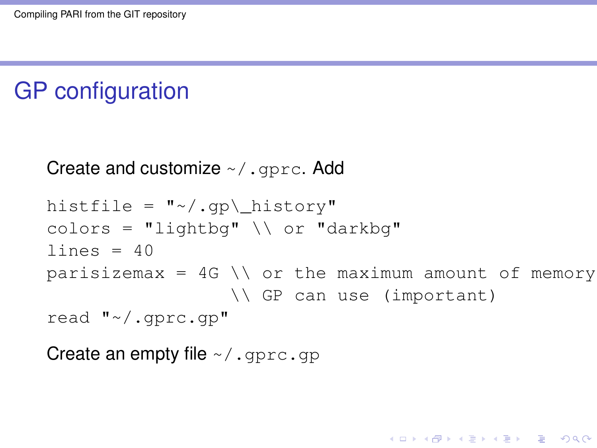## GP configuration

```
Create and customize \sim/ . gprc. Add
```

```
histfile = ''*/.gp\ history"
colors = "lightbq" \setminus or "darkbq"
lines = 40parisizemax = 4G \setminus \sigma the maximum amount of memory
                   \\ GP can use (important)
read "~/.gprc.gp"
```
**KORK ERKER ADAM ADA** 

Create an empty file  $\sim/$ . gprc.gp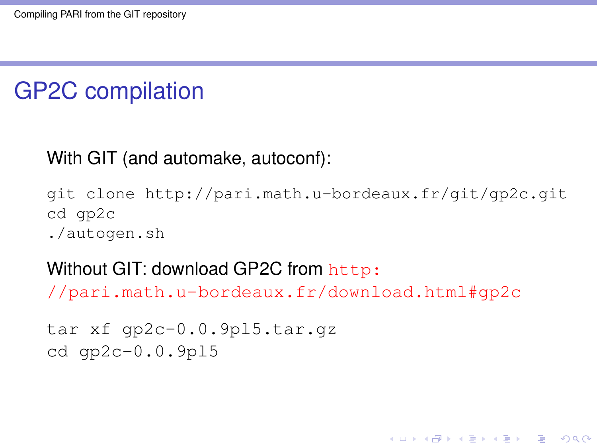# GP2C compilation

#### With GIT (and automake, autoconf):

git clone http://pari.math.u-bordeaux.fr/git/gp2c.git cd gp2c ./autogen.sh

KEL KALEY KEY E NAG

#### Without GIT: download GP2C from [http:](http://pari.math.u-bordeaux.fr/download.html#gp2c)

[//pari.math.u-bordeaux.fr/download.html#gp2c](http://pari.math.u-bordeaux.fr/download.html#gp2c)

```
tar xf gp2c-0.0.9pl5.tar.gz
cd gp2c-0.0.9pl5
```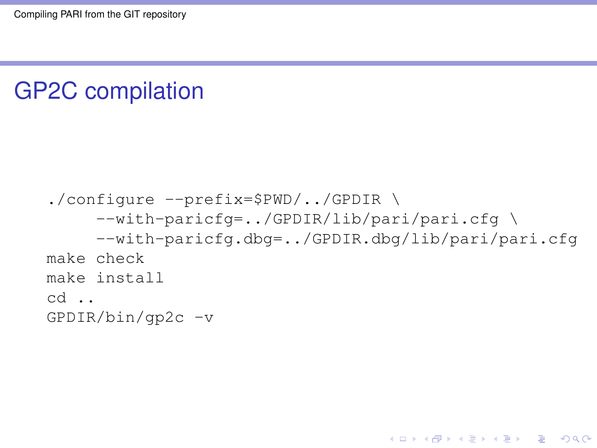## GP2C compilation

```
./configure --prefix=$PWD/../GPDIR \
     --with-paricfg=../GPDIR/lib/pari/pari.cfg \
     --with-paricfg.dbg=../GPDIR.dbg/lib/pari/pari.cfg
make check
make install
cd ..
GPDIR/bin/gp2c -v
```
KEL KALEY KEY E NAG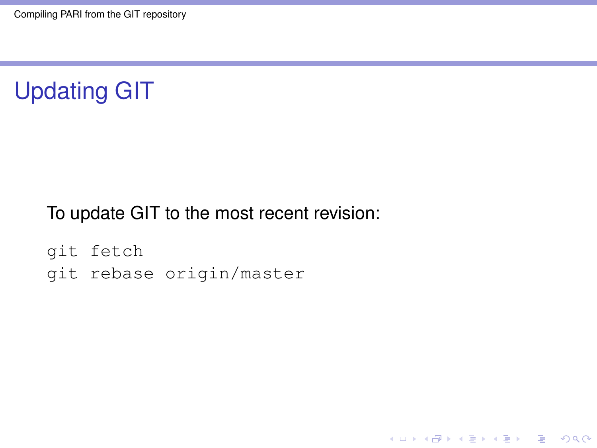

To update GIT to the most recent revision:

K ロ ▶ K @ ▶ K 할 ▶ K 할 ▶ 이 할 → 9 Q Q\*

git fetch git rebase origin/master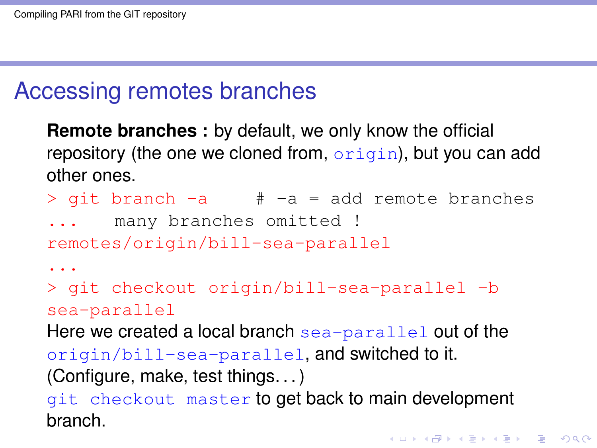### Accessing remotes branches

**Remote branches :** by default, we only know the official repository (the one we cloned from,  $origin)$ , but you can add other ones.

- $>$  git branch  $-a$   $\# -a$  = add remote branches
- many branches omitted !

remotes/origin/bill-sea-parallel

...

> git checkout origin/bill-sea-parallel -b sea-parallel

Here we created a local branch sea-parallel out of the

origin/bill-sea-parallel, and switched to it.

(Configure, make, test things. . . )

git checkout master to get back to main development branch.